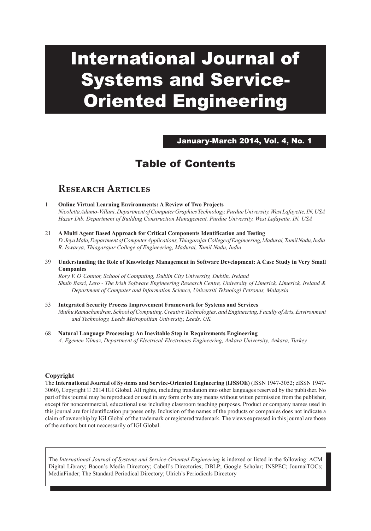# International Journal of Systems and Service-Oriented Engineering

#### January-March 2014, Vol. 4, No. 1

## Table of Contents

## **Research Articles**

- 1**10.4018/ijssoe.2014010101 Online Virtual Learning Environments: A Review of Two Projects** *Nicoletta Adamo-Villani, Department of Computer Graphics Technology, Purdue University, West Lafayette, IN, USA***10.4018/ijssoe.2014010101::1** *Hazar Dib, Department of Building Construction Management, Purdue University, West Lafayette, IN, USA***10.4018/ijssoe.2014010101::2**
- 21**10.4018/ijssoe.2014010102 A Multi Agent Based Approach for Critical Components Identification and Testing** *D. Jeya Mala, Department of Computer Applications, Thiagarajar College of Engineering, Madurai, Tamil Nadu, India***10.4018/ijssoe.2014010102::1** *R. Iswarya, Thiagarajar College of Engineering, Madurai, Tamil Nadu, India***10.4018/ijssoe.2014010102::2**
- 39**10.4018/ijssoe.2014010103 Understanding the Role of Knowledge Management in Software Development: A Case Study in Very Small Companies**

*Rory V. O'Connor, School of Computing, Dublin City University, Dublin, Ireland Shuib Basri, Lero - The Irish Software Engineering Research Centre, University of Limerick, Limerick, Ireland & Department of Computer and Information Science, Universiti Teknologi Petronas, Malaysia***10.4018/ijssoe.2014010103::2**

- 53**10.4018/ijssoe.2014010104 Integrated Security Process Improvement Framework for Systems and Services** *Muthu Ramachandran, School of Computing, Creative Technologies, and Engineering, Faculty of Arts, Environment and Technology, Leeds Metropolitan University, Leeds, UK***10.4018/ijssoe.2014010104::1**
- 68**10.4018/ijssoe.2014010105 Natural Language Processing: An Inevitable Step in Requirements Engineering** *A. Egemen Yilmaz, Department of Electrical-Electronics Engineering, Ankara University, Ankara, Turkey***10.4018/ijssoe.2014010105::1**

#### **Copyright**

The **International Journal of Systems and Service-Oriented Engineering (IJSSOE)** (ISSN 1947-3052; eISSN 1947- 3060), Copyright © 2014 IGI Global. All rights, including translation into other languages reserved by the publisher. No part of this journal may be reproduced or used in any form or by any means without witten permission from the publisher, except for noncommercial, educational use including classroom teaching purposes. Product or company names used in this journal are for identification purposes only. Inclusion of the names of the products or companies does not indicate a claim of ownership by IGI Global of the trademark or registered trademark. The views expressed in this journal are those of the authors but not neccessarily of IGI Global.

The *International Journal of Systems and Service-Oriented Engineering* is indexed or listed in the following: ACM Digital Library; Bacon's Media Directory; Cabell's Directories; DBLP; Google Scholar; INSPEC; JournalTOCs; MediaFinder; The Standard Periodical Directory; Ulrich's Periodicals Directory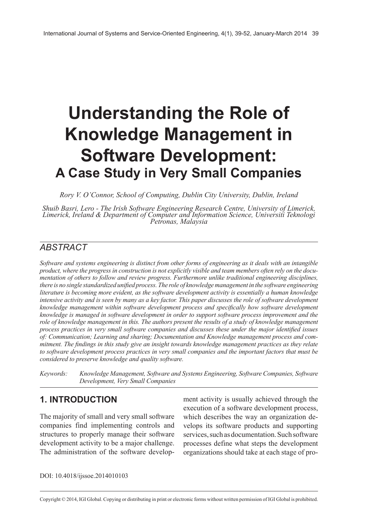# **Understanding the Role of Knowledge Management in Software Development: A Case Study in Very Small Companies**

*Rory V. O'Connor, School of Computing, Dublin City University, Dublin, Ireland*

*Shuib Basri, Lero - The Irish Software Engineering Research Centre, University of Limerick, Limerick, Ireland & Department of Computer and Information Science, Universiti Teknologi Petronas, Malaysia*

#### *ABSTRACT*

*Software and systems engineering is distinct from other forms of engineering as it deals with an intangible product, where the progress in construction is not explicitly visible and team members often rely on the documentation of others to follow and review progress. Furthermore unlike traditional engineering disciplines, there is no single standardized unified process. The role of knowledge management in the software engineering literature is becoming more evident, as the software development activity is essentially a human knowledge*  intensive activity and is seen by many as a key factor. This paper discusses the role of software development *knowledge management within software development process and specifically how software development knowledge is managed in software development in order to support software process improvement and the*  role of knowledge management in this. The authors present the results of a study of knowledge management *process practices in very small software companies and discusses these under the major identified issues of: Communication; Learning and sharing; Documentation and Knowledge management process and commitment. The findings in this study give an insight towards knowledge management practices as they relate to software development process practices in very small companies and the important factors that must be considered to preserve knowledge and quality software.*

*Keywords: Knowledge Management, Software and Systems Engineering, Software Companies, Software Development, Very Small Companies*

#### **1. INTRODUCTION**

The majority of small and very small software companies find implementing controls and structures to properly manage their software development activity to be a major challenge. The administration of the software development activity is usually achieved through the execution of a software development process, which describes the way an organization develops its software products and supporting services, such as documentation. Such software processes define what steps the development organizations should take at each stage of pro-

DOI: 10.4018/ijssoe.2014010103

Copyright © 2014, IGI Global. Copying or distributing in print or electronic forms without written permission of IGI Global is prohibited.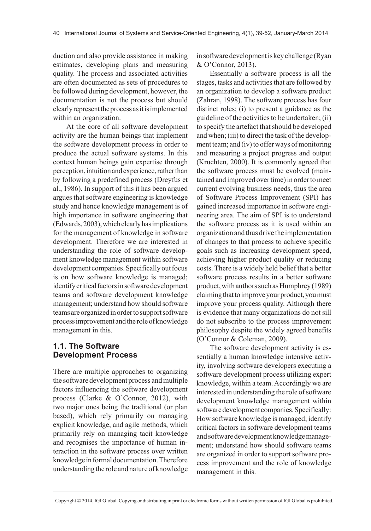duction and also provide assistance in making estimates, developing plans and measuring quality. The process and associated activities are often documented as sets of procedures to be followed during development, however, the documentation is not the process but should clearly represent the process as it is implemented within an organization.

At the core of all software development activity are the human beings that implement the software development process in order to produce the actual software systems. In this context human beings gain expertise through perception, intuition and experience, rather than by following a predefined process (Dreyfus et al., 1986). In support of this it has been argued argues that software engineering is knowledge study and hence knowledge management is of high importance in software engineering that (Edwards, 2003), which clearly has implications for the management of knowledge in software development. Therefore we are interested in understanding the role of software development knowledge management within software development companies. Specifically out focus is on how software knowledge is managed; identify critical factors in software development teams and software development knowledge management; understand how should software teams are organized in order to support software process improvement and the role of knowledge management in this.

#### **1.1. The Software Development Process**

There are multiple approaches to organizing the software development process and multiple factors influencing the software development process (Clarke & O'Connor, 2012), with two major ones being the traditional (or plan based), which rely primarily on managing explicit knowledge, and agile methods, which primarily rely on managing tacit knowledge and recognises the importance of human interaction in the software process over written knowledge in formal documentation. Therefore understanding the role and nature of knowledge

in software development is key challenge (Ryan & O'Connor, 2013).

Essentially a software process is all the stages, tasks and activities that are followed by an organization to develop a software product (Zahran, 1998). The software process has four distinct roles; (i) to present a guidance as the guideline of the activities to be undertaken; (ii) to specify the artefact that should be developed and when; (iii) to direct the task of the development team; and (iv) to offer ways of monitoring and measuring a project progress and output (Kruchten, 2000). It is commonly agreed that the software process must be evolved (maintained and improved over time) in order to meet current evolving business needs, thus the area of Software Process Improvement (SPI) has gained increased importance in software engineering area. The aim of SPI is to understand the software process as it is used within an organization and thus drive the implementation of changes to that process to achieve specific goals such as increasing development speed, achieving higher product quality or reducing costs. There is a widely held belief that a better software process results in a better software product, with authors such as Humphrey (1989) claiming that to improve your product, you must improve your process quality. Although there is evidence that many organizations do not sill do not subscribe to the process improvement philosophy despite the widely agreed benefits (O'Connor & Coleman, 2009).

The software development activity is essentially a human knowledge intensive activity, involving software developers executing a software development process utilizing expert knowledge, within a team. Accordingly we are interested in understanding the role of software development knowledge management within software development companies. Specifically: How software knowledge is managed; identify critical factors in software development teams and software development knowledge management; understand how should software teams are organized in order to support software process improvement and the role of knowledge management in this.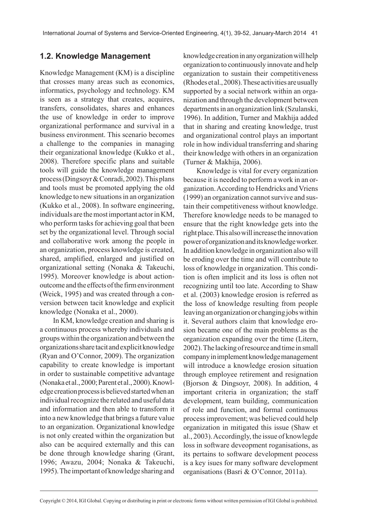#### **1.2. Knowledge Management**

Knowledge Management (KM) is a discipline that crosses many areas such as economics, informatics, psychology and technology. KM is seen as a strategy that creates, acquires, transfers, consolidates, shares and enhances the use of knowledge in order to improve organizational performance and survival in a business environment. This scenario becomes a challenge to the companies in managing their organizational knowledge (Kukko et al., 2008). Therefore specific plans and suitable tools will guide the knowledge management process (Dingsoyr & Conradi, 2002). This plans and tools must be promoted applying the old knowledge to new situations in an organization (Kukko et al., 2008). In software engineering, individuals are the most important actor in KM, who perform tasks for achieving goal that been set by the organizational level. Through social and collaborative work among the people in an organization, process knowledge is created, shared, amplified, enlarged and justified on organizational setting (Nonaka & Takeuchi, 1995). Moreover knowledge is about actionoutcome and the effects of the firm environment (Weick, 1995) and was created through a conversion between tacit knowledge and explicit knowledge (Nonaka et al., 2000).

In KM, knowledge creation and sharing is a continuous process whereby individuals and groups within the organization and between the organizations share tacit and explicit knowledge (Ryan and O'Connor, 2009). The organization capability to create knowledge is important in order to sustainable competitive advantage (Nonaka et al., 2000; Parent et al., 2000). Knowledge creation process is believed started when an individual recognize the related and useful data and information and then able to transform it into a new knowledge that brings a future value to an organization. Organizational knowledge is not only created within the organization but also can be acquired externally and this can be done through knowledge sharing (Grant, 1996; Awazu, 2004; Nonaka & Takeuchi, 1995). The important of knowledge sharing and

knowledge creation in any organization will help organization to continuously innovate and help organization to sustain their competitiveness (Rhodes et al., 2008). These activities are usually supported by a social network within an organization and through the development between departments in an organization link (Szulanski, 1996). In addition, Turner and Makhija added that in sharing and creating knowledge, trust and organizational control plays an important role in how individual transferring and sharing their knowledge with others in an organization (Turner & Makhija, 2006).

Knowledge is vital for every organization because it is needed to perform a work in an organization. According to Hendricks and Vriens (1999) an organization cannot survive and sustain their competitiveness without knowledge. Therefore knowledge needs to be managed to ensure that the right knowledge gets into the right place. This also will increase the innovation power of organization and its knowledge worker. In addition knowledge in organization also will be eroding over the time and will contribute to loss of knowledge in organization. This condition is often implicit and its loss is often not recognizing until too late. According to Shaw et al. (2003) knowledge erosion is referred as the loss of knowledge resulting from people leaving an organization or changing jobs within it. Several authors claim that knowledge erosion became one of the main problems as the organization expanding over the time (Litern, 2002). The lacking of resource and time in small company in implement knowledge management will introduce a knowledge erosion situation through employee retirement and resignation (Bjorson & Dingsoyr, 2008). In addition, 4 important criteria in organization; the staff development, team building, communication of role and function, and formal continuous process improvement; was believed could help organization in mitigated this issue (Shaw et al., 2003). Accordingly, the issue of knowlegde loss in software deveopment roganisations, as its pertains to software development peocess is a key isues for many software development organisations (Basri & O'Connor, 2011a).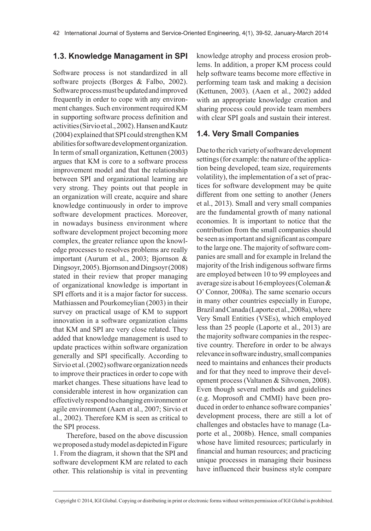#### **1.3. Knowledge Managament in SPI**

Software process is not standardized in all software projects (Borges & Falbo, 2002). Software process must be updated and improved frequently in order to cope with any environment changes. Such environment required KM in supporting software process definition and activities (Sirvio et al., 2002). Hansen and Kautz (2004) explained that SPI could strengthen KM abilities for software development organization. In term of small organization, Kettunen (2003) argues that KM is core to a software process improvement model and that the relationship between SPI and organizational learning are very strong. They points out that people in an organization will create, acquire and share knowledge continuously in order to improve software development practices. Moreover, in nowadays business environment where software development project becoming more complex, the greater reliance upon the knowledge processes to resolves problems are really important (Aurum et al., 2003; Bjornson & Dingsoyr, 2005). Bjornson and Dingsoyr (2008) stated in their review that proper managing of organizational knowledge is important in SPI efforts and it is a major factor for success. Mathiassen and Pourkomeylian (2003) in their survey on practical usage of KM to support innovation in a software organization claims that KM and SPI are very close related. They added that knowledge management is used to update practices within software organization generally and SPI specifically. According to Sirvio et al. (2002) software organization needs to improve their practices in order to cope with market changes. These situations have lead to considerable interest in how organization can effectively respond to changing environment or agile environment (Aaen et al., 2007; Sirvio et al., 2002). Therefore KM is seen as critical to the SPI process.

Therefore, based on the above discussion we proposed a study model as depicted in Figure 1. From the diagram, it shown that the SPI and software development KM are related to each other. This relationship is vital in preventing knowledge atrophy and process erosion problems. In addition, a proper KM process could help software teams become more effective in performing team task and making a decision (Kettunen, 2003). (Aaen et al., 2002) added with an appropriate knowledge creation and sharing process could provide team members with clear SPI goals and sustain their interest.

#### **1.4. Very Small Companies**

Due to the rich variety of software development settings (for example: the nature of the application being developed, team size, requirements volatility), the implementation of a set of practices for software development may be quite different from one setting to another (Jeners et al., 2013). Small and very small companies are the fundamental growth of many national economies. It is important to notice that the contribution from the small companies should be seen as important and significant as compare to the large one. The majority of software companies are small and for example in Ireland the majority of the Irish indigenous software firms are employed between 10 to 99 employees and average size is about 16 employees (Coleman & O' Connor, 2008a). The same scenario occurs in many other countries especially in Europe, Brazil and Canada (Laporte et al., 2008a), where Very Small Entities (VSEs), which employed less than 25 people (Laporte et al., 2013) are the majority software companies in the respective country. Therefore in order to be always relevance in software industry, small companies need to maintains and enhances their products and for that they need to improve their development process (Valtanen & Sihvonen, 2008). Even though several methods and guidelines (e.g. Moprosoft and CMMI) have been produced in order to enhance software companies' development process, there are still a lot of challenges and obstacles have to manage (Laporte et al., 2008b). Hence, small companies whose have limited resources; particularly in financial and human resources; and practicing unique processes in managing their business have influenced their business style compare

Copyright © 2014, IGI Global. Copying or distributing in print or electronic forms without written permission of IGI Global is prohibited.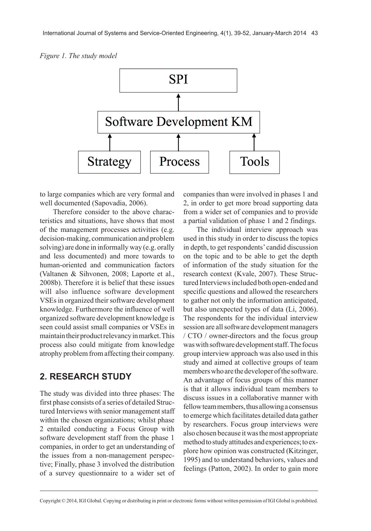



to large companies which are very formal and well documented (Sapovadia, 2006).

Therefore consider to the above characteristics and situations, have shows that most of the management processes activities (e.g. decision-making, communication and problem solving) are done in informally way (e.g. orally and less documented) and more towards to human-oriented and communication factors (Valtanen & Sihvonen, 2008; Laporte et al., 2008b). Therefore it is belief that these issues will also influence software development VSEs in organized their software development knowledge. Furthermore the influence of well organized software development knowledge is seen could assist small companies or VSEs in maintain their product relevancy in market. This process also could mitigate from knowledge atrophy problem from affecting their company.

#### **2. RESEARCH STUDY**

The study was divided into three phases: The first phase consists of a series of detailed Structured Interviews with senior management staff within the chosen organizations; whilst phase 2 entailed conducting a Focus Group with software development staff from the phase 1 companies, in order to get an understanding of the issues from a non-management perspective; Finally, phase 3 involved the distribution of a survey questionnaire to a wider set of companies than were involved in phases 1 and 2, in order to get more broad supporting data from a wider set of companies and to provide a partial validation of phase 1 and 2 findings.

The individual interview approach was used in this study in order to discuss the topics in depth, to get respondents' candid discussion on the topic and to be able to get the depth of information of the study situation for the research context (Kvale, 2007). These Structured Interviews included both open-ended and specific questions and allowed the researchers to gather not only the information anticipated, but also unexpected types of data (Li, 2006). The respondents for the individual interview session are all software development managers / CTO / owner-directors and the focus group was with software development staff. The focus group interview approach was also used in this study and aimed at collective groups of team members who are the developer of the software. An advantage of focus groups of this manner is that it allows individual team members to discuss issues in a collaborative manner with fellow team members, thus allowing a consensus to emerge which facilitates detailed data gather by researchers. Focus group interviews were also chosen because it was the most appropriate method to study attitudes and experiences; to explore how opinion was constructed (Kitzinger, 1995) and to understand behaviors, values and feelings (Patton, 2002). In order to gain more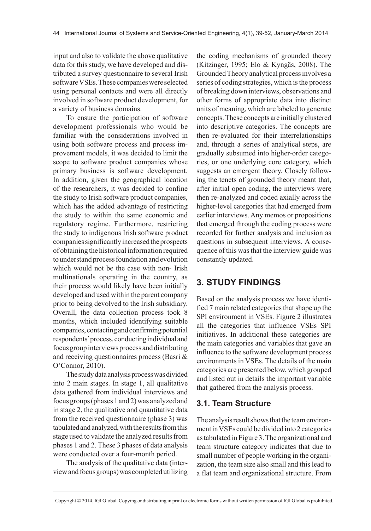input and also to validate the above qualitative data for this study, we have developed and distributed a survey questionnaire to several Irish software VSEs. These companies were selected using personal contacts and were all directly involved in software product development, for a variety of business domains.

To ensure the participation of software development professionals who would be familiar with the considerations involved in using both software process and process improvement models, it was decided to limit the scope to software product companies whose primary business is software development. In addition, given the geographical location of the researchers, it was decided to confine the study to Irish software product companies, which has the added advantage of restricting the study to within the same economic and regulatory regime. Furthermore, restricting the study to indigenous Irish software product companies significantly increased the prospects of obtaining the historical information required to understand process foundation and evolution which would not be the case with non- Irish multinationals operating in the country, as their process would likely have been initially developed and used within the parent company prior to being devolved to the Irish subsidiary. Overall, the data collection process took 8 months, which included identifying suitable companies, contacting and confirming potential respondents' process, conducting individual and focus group interviews process and distributing and receiving questionnaires process (Basri & O'Connor, 2010).

The study data analysis process was divided into 2 main stages. In stage 1, all qualitative data gathered from individual interviews and focus groups (phases 1 and 2) was analyzed and in stage 2, the qualitative and quantitative data from the received questionnaire (phase 3) was tabulated and analyzed, with the results from this stage used to validate the analyzed results from phases 1 and 2. These 3 phases of data analysis were conducted over a four-month period.

The analysis of the qualitative data (interview and focus groups) was completed utilizing the coding mechanisms of grounded theory (Kitzinger, 1995; Elo & Kyngäs, 2008). The Grounded Theory analytical process involves a series of coding strategies, which is the process of breaking down interviews, observations and other forms of appropriate data into distinct units of meaning, which are labeled to generate concepts. These concepts are initially clustered into descriptive categories. The concepts are then re-evaluated for their interrelationships and, through a series of analytical steps, are gradually subsumed into higher-order categories, or one underlying core category, which suggests an emergent theory. Closely following the tenets of grounded theory meant that, after initial open coding, the interviews were then re-analyzed and coded axially across the higher-level categories that had emerged from earlier interviews. Any memos or propositions that emerged through the coding process were recorded for further analysis and inclusion as questions in subsequent interviews. A consequence of this was that the interview guide was constantly updated.

### **3. STUDY FINDINGS**

Based on the analysis process we have identified 7 main related categories that shape up the SPI environment in VSEs. Figure 2 illustrates all the categories that influence VSEs SPI initiatives. In additional these categories are the main categories and variables that gave an influence to the software development process environments in VSEs. The details of the main categories are presented below, which grouped and listed out in details the important variable that gathered from the analysis process.

#### **3.1. Team Structure**

The analysis result shows that the team environment in VSEs could be divided into 2 categories as tabulated in Figure 3. The organizational and team structure category indicates that due to small number of people working in the organization, the team size also small and this lead to a flat team and organizational structure. From

Copyright © 2014, IGI Global. Copying or distributing in print or electronic forms without written permission of IGI Global is prohibited.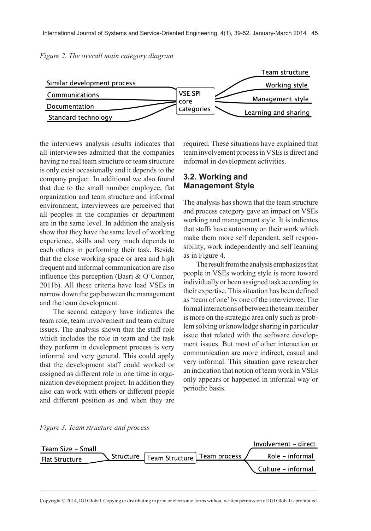



the interviews analysis results indicates that all interviewees admitted that the companies having no real team structure or team structure is only exist occasionally and it depends to the company project. In additional we also found that due to the small number employee, flat organization and team structure and informal environment, interviewees are perceived that all peoples in the companies or department are in the same level. In addition the analysis show that they have the same level of working experience, skills and very much depends to each others in performing their task. Beside that the close working space or area and high frequent and informal communication are also influence this perception (Basri & O'Connor, 2011b). All these criteria have lead VSEs in narrow down the gap between the management and the team development.

The second category have indicates the team role, team involvement and team culture issues. The analysis shown that the staff role which includes the role in team and the task they perform in development process is very informal and very general. This could apply that the development staff could worked or assigned as different role in one time in organization development project. In addition they also can work with others or different people and different position as and when they are required. These situations have explained that team involvement process in VSEs is direct and informal in development activities.

#### **3.2. Working and Management Style**

The analysis has shown that the team structure and process category gave an impact on VSEs working and management style. It is indicates that staffs have autonomy on their work which make them more self dependent, self responsibility, work independently and self learning as in Figure 4.

The result from the analysis emphasizes that people in VSEs working style is more toward individually or been assigned task according to their expertise. This situation has been defined as 'team of one' by one of the interviewee. The formal interactions of between the team member is more on the strategic area only such as problem solving or knowledge sharing in particular issue that related with the software development issues. But most of other interaction or communication are more indirect, casual and very informal. This situation gave researcher an indication that notion of team work in VSEs only appears or happened in informal way or periodic basis.



*Figure 3. Team structure and process*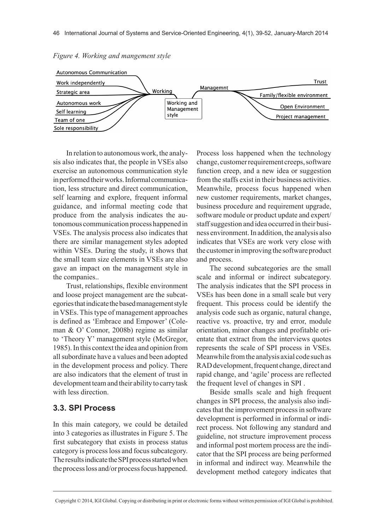



In relation to autonomous work, the analysis also indicates that, the people in VSEs also exercise an autonomous communication style in performed their works. Informal communication, less structure and direct communication, self learning and explore, frequent informal guidance, and informal meeting code that produce from the analysis indicates the autonomous communication process happened in VSEs. The analysis process also indicates that there are similar management styles adopted within VSEs. During the study, it shows that the small team size elements in VSEs are also gave an impact on the management style in the companies..

Trust, relationships, flexible environment and loose project management are the subcategories that indicate the based management style in VSEs. This type of management approaches is defined as 'Embrace and Empower' (Coleman & O' Connor, 2008b) regime as similar to 'Theory Y' management style (McGregor, 1985). In this context the idea and opinion from all subordinate have a values and been adopted in the development process and policy. There are also indicators that the element of trust in development team and their ability to carry task with less direction.

#### **3.3. SPI Process**

In this main category, we could be detailed into 3 categories as illustrates in Figure 5. The first subcategory that exists in process status category is process loss and focus subcategory. The results indicate the SPI process started when the process loss and/or process focus happened. Process loss happened when the technology change, customer requirement creeps, software function creep, and a new idea or suggestion from the staffs exist in their business activities. Meanwhile, process focus happened when new customer requirements, market changes, business procedure and requirement upgrade, software module or product update and expert/ staff suggestion and idea occurred in their business environment. In addition, the analysis also indicates that VSEs are work very close with the customer in improving the software product and process.

The second subcategories are the small scale and informal or indirect subcategory. The analysis indicates that the SPI process in VSEs has been done in a small scale but very frequent. This process could be identify the analysis code such as organic, natural change, reactive vs. proactive, try and error, module orientation, minor changes and profitable orientate that extract from the interviews quotes represents the scale of SPI process in VSEs. Meanwhile from the analysis axial code such as RAD development, frequent change, direct and rapid change, and 'agile' process are reflected the frequent level of changes in SPI .

Beside smalls scale and high frequent changes in SPI process, the analysis also indicates that the improvement process in software development is performed in informal or indirect process. Not following any standard and guideline, not structure improvement process and informal post mortem process are the indicator that the SPI process are being performed in informal and indirect way. Meanwhile the development method category indicates that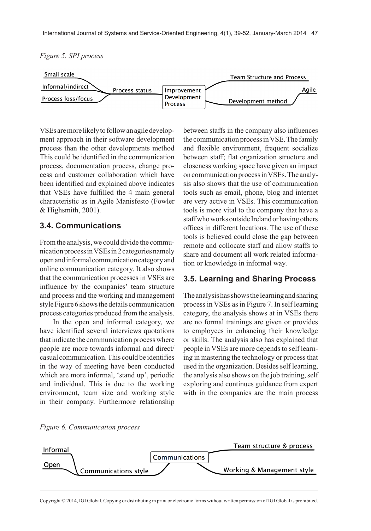



VSEs are more likely to follow an agile development approach in their software development process than the other developments method This could be identified in the communication process, documentation process, change process and customer collaboration which have been identified and explained above indicates that VSEs have fulfilled the 4 main general characteristic as in Agile Manisfesto (Fowler & Highsmith, 2001).

#### **3.4. Communications**

From the analysis, we could divide the communication process in VSEs in 2 categories namely open and informal communication category and online communication category. It also shows that the communication processes in VSEs are influence by the companies' team structure and process and the working and management style Figure 6 shows the details communication process categories produced from the analysis.

In the open and informal category, we have identified several interviews quotations that indicate the communication process where people are more towards informal and direct/ casual communication. This could be identifies in the way of meeting have been conducted which are more informal, 'stand up', periodic and individual. This is due to the working environment, team size and working style in their company. Furthermore relationship between staffs in the company also influences the communication process in VSE. The family and flexible environment, frequent socialize between staff; flat organization structure and closeness working space have given an impact on communication process in VSEs. The analysis also shows that the use of communication tools such as email, phone, blog and internet are very active in VSEs. This communication tools is more vital to the company that have a staff who works outside Ireland or having others offices in different locations. The use of these tools is believed could close the gap between remote and collocate staff and allow staffs to share and document all work related information or knowledge in informal way.

#### **3.5. Learning and Sharing Process**

The analysis has shows the learning and sharing process in VSEs as in Figure 7. In self learning category, the analysis shows at in VSEs there are no formal trainings are given or provides to employees in enhancing their knowledge or skills. The analysis also has explained that people in VSEs are more depends to self learning in mastering the technology or process that used in the organization. Besides self learning, the analysis also shows on the job training, self exploring and continues guidance from expert with in the companies are the main process





Copyright © 2014, IGI Global. Copying or distributing in print or electronic forms without written permission of IGI Global is prohibited.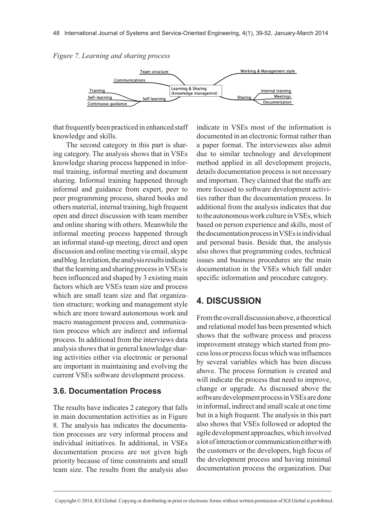*Figure 7. Learning and sharing process*



that frequently been practiced in enhanced staff knowledge and skills.

The second category in this part is sharing category. The analysis shows that in VSEs knowledge sharing process happened in informal training, informal meeting and document sharing. Informal training happened through informal and guidance from expert, peer to peer programming process, shared books and others material, internal training, high frequent open and direct discussion with team member and online sharing with others. Meanwhile the informal meeting process happened through an informal stand-up meeting, direct and open discussion and online meeting via email, skype and blog. In relation, the analysis results indicate that the learning and sharing process in VSEs is been influenced and shaped by 3 existing main factors which are VSEs team size and process which are small team size and flat organization structure; working and management style which are more toward autonomous work and macro management process and, communication process which are indirect and informal process. In additional from the interviews data analysis shows that in general knowledge sharing activities either via electronic or personal are important in maintaining and evolving the current VSEs software development process.

#### **3.6. Documentation Process**

The results have indicates 2 category that falls in main documentation activities as in Figure 8. The analysis has indicates the documentation processes are very informal process and individual initiatives. In additional, in VSEs documentation process are not given high priority because of time constraints and small team size. The results from the analysis also indicate in VSEs most of the information is documented in an electronic format rather than a paper format. The interviewees also admit due to similar technology and development method applied in all development projects, details documentation process is not necessary and important. They claimed that the staffs are more focused to software development activities rather than the documentation process. In additional from the analysis indicates that due to the autonomous work culture in VSEs, which based on person experience and skills, most of the documentation process in VSEs is individual and personal basis. Beside that, the analysis also shows that programming codes, technical issues and business procedures are the main documentation in the VSEs which fall under specific information and procedure category.

#### **4. DISCUSSION**

From the overall discussion above, a theoretical and relational model has been presented which shows that the software process and process improvement strategy which started from process loss or process focus which was influences by several variables which has been discuss above. The process formation is created and will indicate the process that need to improve, change or upgrade. As discussed above the software development process in VSEs are done in informal, indirect and small scale at one time but in a high frequent. The analysis in this part also shows that VSEs followed or adopted the agile development approaches, which involved a lot of interaction or communication either with the customers or the developers, high focus of the development process and having minimal documentation process the organization. Due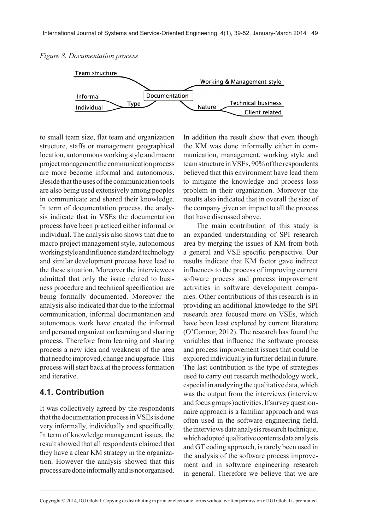



to small team size, flat team and organization structure, staffs or management geographical location, autonomous working style and macro project management the communication process are more become informal and autonomous. Beside that the uses of the communication tools are also being used extensively among peoples in communicate and shared their knowledge. In term of documentation process, the analysis indicate that in VSEs the documentation process have been practiced either informal or individual. The analysis also shows that due to macro project management style, autonomous working style and influence standard technology and similar development process have lead to the these situation. Moreover the interviewees admitted that only the issue related to business procedure and technical specification are being formally documented. Moreover the analysis also indicated that due to the informal communication, informal documentation and autonomous work have created the informal and personal organization learning and sharing process. Therefore from learning and sharing process a new idea and weakness of the area that need to improved, change and upgrade. This process will start back at the process formation and iterative.

#### **4.1. Contribution**

It was collectively agreed by the respondents that the documentation process in VSEs is done very informally, individually and specifically. In term of knowledge management issues, the result showed that all respondents claimed that they have a clear KM strategy in the organization. However the analysis showed that this process are done informally and is not organised. In addition the result show that even though the KM was done informally either in communication, management, working style and team structure in VSEs, 90% of the respondents believed that this environment have lead them to mitigate the knowledge and process loss problem in their organization. Moreover the results also indicated that in overall the size of the company given an impact to all the process that have discussed above.

The main contribution of this study is an expanded understanding of SPI research area by merging the issues of KM from both a general and VSE specific perspective. Our results indicate that KM factor gave indirect influences to the process of improving current software process and process improvement activities in software development companies. Other contributions of this research is in providing an additional knowledge to the SPI research area focused more on VSEs, which have been least explored by current literature (O'Connor, 2012). The research has found the variables that influence the software process and process improvement issues that could be explored individually in further detail in future. The last contribution is the type of strategies used to carry out research methodology work, especial in analyzing the qualitative data, which was the output from the interviews (interview and focus groups) activities. If survey questionnaire approach is a familiar approach and was often used in the software engineering field, the interviews data analysis research technique, which adopted qualitative contents data analysis and GT coding approach, is rarely been used in the analysis of the software process improvement and in software engineering research in general. Therefore we believe that we are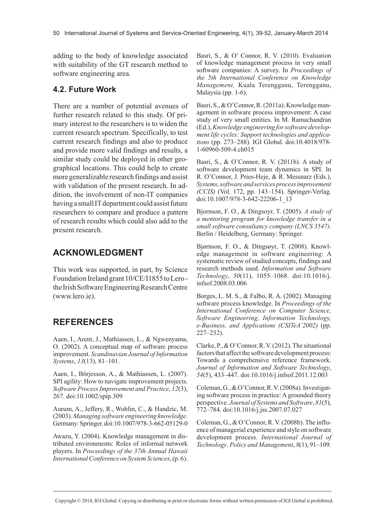adding to the body of knowledge associated with suitability of the GT research method to software engineering area.

#### **4.2. Future Work**

There are a number of potential avenues of further research related to this study. Of primary interest to the researchers is to widen the current research spectrum. Specifically, to test current research findings and also to produce and provide more valid findings and results, a similar study could be deployed in other geographical locations. This could help to create more generalizable research findings and assist with validation of the present research. In addition, the involvement of non-IT companies having a small IT department could assist future researchers to compare and produce a pattern of research results which could also add to the present research.

### **ACKNOWLEDGMENT**

This work was supported, in part, by Science Foundation Ireland grant 10/CE/I1855 to Lero the Irish Software Engineering Research Centre (www.lero.ie).

## **REFERENCES**

Aaen, I., Arent, J., Mathiassen, L., & Ngwenyama, O. (2002). A conceptual map of software process improvement. *Scandinavian Journal of Information Systems*, *13*(13), 81–101.

Aaen, I., Börjesson, A., & Mathiassen, L. (2007). SPI agility: How to navigate improvement projects. *Software Process Improvement and Practice*, *12*(3), 267. doi:10.1002/spip.309

Aurum, A., Jeffery, R., Wohlin, C., & Handzic, M. (2003). *Managing software engineering knowledge*. Germany: Springer. doi:10.1007/978-3-662-05129-0

Awazu, Y. (2004). Knowledge management in distributed environments: Roles of informal network players. In *Proceedings of the 37th Annual Hawaii International Conference on System Sciences*, (p. 6).

Basri, S., & O' Connor, R. V. (2010). Evaluation of knowledge management process in very small software companies: A survey. In *Proceedings of the 5th International Conference on Knowledge Management,* Kuala Terengganu, Terengganu, Malaysia (pp. 1-6).

Basri, S., & O'Connor, R. (2011a). Knowledge management in software process improvement: A case study of very small entities. In M. Ramachandran (Ed.), *Knowledge engineering for software development life cycles: Support technologies and applications* (pp. 273–288). IGI Global. doi:10.4018/978- 1-60960-509-4.ch015

Basri, S., & O'Connor, R. V. (2011b). A study of software development team dynamics in SPI. In R. O'Connor, J. Pries-Heje, & R. Messnarz (Eds.), *Systems, software and services process improvement (CCIS)* (Vol. 172, pp. 143–154). Springer-Verlag. doi:10.1007/978-3-642-22206-1\_13

Bjornson, F. O., & Dingsoyr, T. (2005). *A study of a mentoring program for knowledge transfer in a small software consultancy company (LNCS 3547)*. Berlin / Heidelberg, Germany: Springer.

Bjørnson, F. O., & Dingsøyr, T. (2008). Knowledge management in software engineering: A systematic review of studied concepts, findings and research methods used. *Information and Software Technology*, *50*(11), 1055–1068. doi:10.1016/j. infsof.2008.03.006

Borges, L. M. S., & Falbo, R. A. (2002). Managing software process knowledge. In *Proceedings of the International Conference on Computer Science, Software Engineering, Information Technology, e-Business, and Applications (CSITeA'2002)* (pp. 227–232).

Clarke, P., & O'Connor, R. V. (2012). The situational factors that affect the software development process: Towards a comprehensive reference framework. *Journal of Information and Software Technology*, *54*(5), 433–447. doi:10.1016/j.infsof.2011.12.003

Coleman, G., & O'Connor, R. V. (2008a). Investigating software process in practice: A grounded theory perspective. *Journal of Systems and Software*, *81*(5), 772–784. doi:10.1016/j.jss.2007.07.027

Coleman, G., & O'Connor, R. V. (2008b). The influence of managerial experience and style on software development process. *International Journal of Technology*. *Policy and Management*, *8*(1), 91–109.

Copyright © 2014, IGI Global. Copying or distributing in print or electronic forms without written permission of IGI Global is prohibited.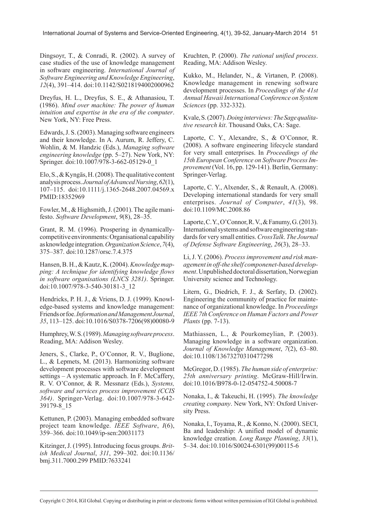Dingsoyr, T., & Conradi, R. (2002). A survey of case studies of the use of knowledge management in software engineering. *International Journal of Software Engineering and Knowledge Engineering*, *12*(4), 391–414. doi:10.1142/S0218194002000962

Dreyfus, H. L., Dreyfus, S. E., & Athanasiou, T. (1986). *Mind over machine: The power of human intuition and expertise in the era of the computer*. New York, NY: Free Press.

Edwards, J. S. (2003). Managing software engineers and their knowledge. In A. Aurum, R. Jeffery, C. Wohlin, & M. Handzic (Eds.), *Managing software engineering knowledge* (pp. 5–27). New York, NY: Springer. doi:10.1007/978-3-662-05129-0\_1

Elo, S., & Kyngäs, H. (2008). The qualitative content analysis process. *Journal of Advanced Nursing*, *62*(1), 107–115. doi:10.1111/j.1365-2648.2007.04569.x PMID:18352969

Fowler, M., & Highsmith, J. (2001). The agile manifesto. *Software Development*, *9*(8), 28–35.

Grant, R. M. (1996). Prospering in dynamicallycompetitive environments: Organisational capability as knowledge integration. *Organization Science*, *7*(4), 375–387. doi:10.1287/orsc.7.4.375

Hansen, B. H., & Kautz, K. (2004). *Knowledge mapping: A technique for identifying knowledge flows in software organisations (LNCS 3281)*. Springer. doi:10.1007/978-3-540-30181-3\_12

Hendricks, P. H. J., & Vriens, D. J. (1999). Knowledge-based systems and knowledge management: Friends or foe. *Information and Management Journal*, *35*, 113–125. doi:10.1016/S0378-7206(98)00080-9

Humphrey, W. S. (1989). *Managing software process*. Reading, MA: Addison Wesley.

Jeners, S., Clarke, P., O'Connor, R. V., Buglione, L., & Lepmets, M. (2013). Harmonizing software development processes with software development settings – A systematic approach. In F. McCaffery, R. V. O'Connor, & R. Messnarz (Eds.), *Systems, software and services process improvement (CCIS 364)*. Springer-Verlag. doi:10.1007/978-3-642- 39179-8\_15

Kettunen, P. (2003). Managing embedded software project team knowledge. *IEEE Software*, *I*(6), 359–366. doi:10.1049/ip-sen:20031173

Kitzinger, J. (1995). Introducing focus groups. *British Medical Journal*, *311*, 299–302. doi:10.1136/ bmj.311.7000.299 PMID:7633241

Kruchten, P. (2000). *The rational unified process*. Reading, MA: Addison Wesley.

Kukko, M., Helander, N., & Virtanen, P. (2008). Knowledge management in renewing software development processes. In *Proceedings of the 41st Annual Hawaii International Conference on System Sciences* (pp. 332-332).

Kvale, S. (2007). *Doing interviews: The Sage qualitative research kit*. Thousand Oaks, CA: Sage.

Laporte, C. Y., Alexandre, S., & O'Connor, R. (2008). A software engineering lifecycle standard for very small enterprises. In *Proceedings of the 15th European Conference on Software Process Improvement* (Vol. 16, pp. 129-141). Berlin, Germany: Springer-Verlag.

Laporte, C. Y., Alxender, S., & Renault, A. (2008). Developing international standards for very small enterprises. *Journal of Computer*, *41*(3), 98. doi:10.1109/MC.2008.86

Laporte, C. Y., O'Connor, R. V., & Fanumy, G. (2013). International systems and software engineering standards for very small entities. *CrossTalk*. *The Journal of Defense Software Engineering*, *26*(3), 28–33.

Li, J. Y. (2006). *Process improvement and risk management in off-the shelf componenet-based development*. Unpublished doctoral dissertation, Norwegian University science and Technology.

Litern, G., Diedrich, F. J., & Serfaty, D. (2002). Engineering the community of practice for maintenance of organizational knowledge. In *Proceedings IEEE 7th Conference on Human Factors and Power Plants* (pp. 7-13).

Mathiassen, L., & Pourkomeylian, P. (2003). Managing knowledge in a software organization. *Journal of Knowledge Management*, *7*(2), 63–80. doi:10.1108/13673270310477298

McGregor, D. (1985). *The human side of enterprise: 25th anniversary printing*. McGraw-Hill/Irwin. doi:10.1016/B978-0-12-054752-4.50008-7

Nonaka, I., & Takeuchi, H. (1995). *The knowledge creating company*. New York, NY: Oxford University Press.

Nonaka, I., Toyama, R., & Konno, N. (2000). SECI, Ba and leadership: A unified model of dynamic knowledge creation. *Long Range Planning*, *33*(1), 5–34. doi:10.1016/S0024-6301(99)00115-6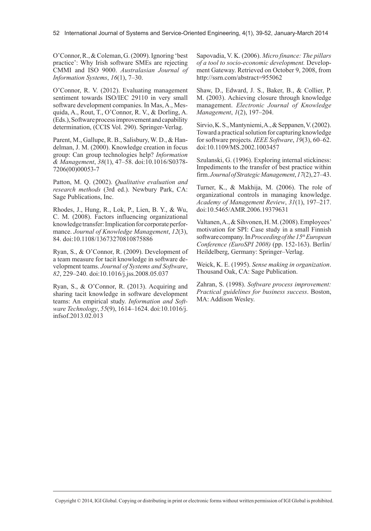O'Connor, R., & Coleman, G. (2009). Ignoring 'best practice': Why Irish software SMEs are rejecting CMMI and ISO 9000. *Australasian Journal of Information Systems*, *16*(1), 7–30.

O'Connor, R. V. (2012). Evaluating management sentiment towards ISO/IEC 29110 in very small software development companies. In Mas, A., Mesquida, A., Rout, T., O'Connor, R. V., & Dorling, A. (Eds.), Software process improvement and capability determination, (CCIS Vol. 290). Springer-Verlag.

Parent, M., Gallupe, R. B., Salisbury, W. D., & Handelman, J. M. (2000). Knowledge creation in focus group: Can group technologies help? *Information & Management*, *38*(1), 47–58. doi:10.1016/S0378- 7206(00)00053-7

Patton, M. Q. (2002). *Qualitative evaluation and research methods* (3rd ed.). Newbury Park, CA: Sage Publications, Inc.

Rhodes, J., Hung, R., Lok, P., Lien, B. Y., & Wu, C. M. (2008). Factors influencing organizational knowledge transfer: Implication for corporate performance. *Journal of Knowledge Management*, *12*(3), 84. doi:10.1108/13673270810875886

Ryan, S., & O'Connor, R. (2009). Development of a team measure for tacit knowledge in software development teams. *Journal of Systems and Software*, *82*, 229–240. doi:10.1016/j.jss.2008.05.037

Ryan, S., & O'Connor, R. (2013). Acquiring and sharing tacit knowledge in software development teams: An empirical study. *Information and Software Technology*, *55*(9), 1614–1624. doi:10.1016/j. infsof.2013.02.013

Sapovadia, V. K. (2006). *Micro finance: The pillars of a tool to socio-economic development.* Development Gateway. Retrieved on October 9, 2008, from http://ssrn.com/abstract=955062

Shaw, D., Edward, J. S., Baker, B., & Collier, P. M. (2003). Achieving closure through knowledge management. *Electronic Journal of Knowledge Management*, *1*(2), 197–204.

Sirvio, K. S., Mantyniemi, A., & Seppanen, V. (2002). Toward a practical solution for capturing knowledge for software projects. *IEEE Software*, *19*(3), 60–62. doi:10.1109/MS.2002.1003457

Szulanski, G. (1996). Exploring internal stickiness: Impediments to the transfer of best practice within firm. *Journal of Strategic Management*, *17*(2), 27–43.

Turner, K., & Makhija, M. (2006). The role of organizational controls in managing knowledge. *Academy of Management Review*, *31*(1), 197–217. doi:10.5465/AMR.2006.19379631

Valtanen, A., & Sihvonen, H. M. (2008). Employees' motivation for SPI: Case study in a small Finnish software company. In *Proceeding of the 15th European Conference (EuroSPI 2008)* (pp. 152-163). Berlin/ Heildelberg, Germany: Springer–Verlag.

Weick, K. E. (1995). *Sense making in organization*. Thousand Oak, CA: Sage Publication.

Zahran, S. (1998). *Software process improvement: Practical guidelines for business success*. Boston, MA: Addison Wesley.